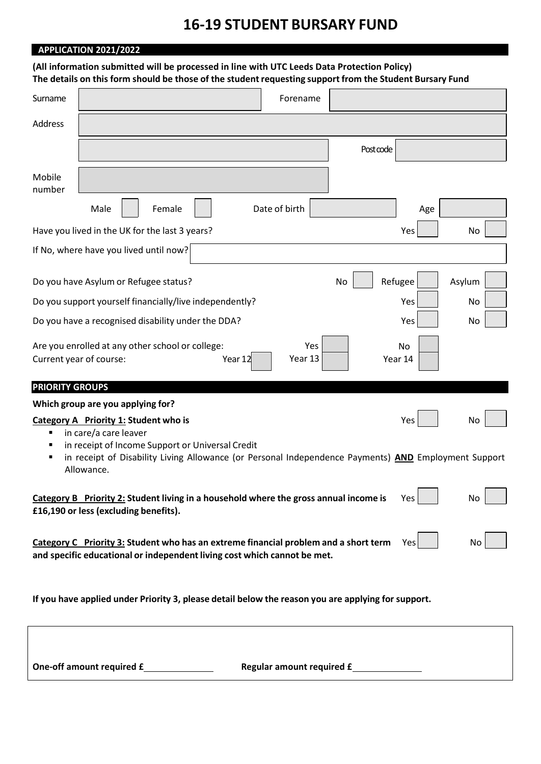# **16‐19 STUDENT BURSARY FUND**

## **APPLICATION 2021/2022**

## **(All information submitted will be processed in line with UTC Leeds Data Protection Policy)** The details on this form should be those of the student requesting support from the Student Bursary Fund

| Surname                                                                                                                                                                       |                                                                | Forename      |          |         |        |
|-------------------------------------------------------------------------------------------------------------------------------------------------------------------------------|----------------------------------------------------------------|---------------|----------|---------|--------|
| Address                                                                                                                                                                       |                                                                |               |          |         |        |
|                                                                                                                                                                               |                                                                |               | Postcode |         |        |
| Mobile<br>number                                                                                                                                                              |                                                                |               |          |         |        |
|                                                                                                                                                                               | Male<br>Female                                                 | Date of birth |          | Age     |        |
|                                                                                                                                                                               | Have you lived in the UK for the last 3 years?                 |               |          | Yes     | No     |
|                                                                                                                                                                               | If No, where have you lived until now?                         |               |          |         |        |
|                                                                                                                                                                               | Do you have Asylum or Refugee status?                          |               | No       | Refugee | Asylum |
|                                                                                                                                                                               | Do you support yourself financially/live independently?        |               |          | Yes     | No     |
|                                                                                                                                                                               | Do you have a recognised disability under the DDA?             |               |          | Yes     | No     |
| Are you enrolled at any other school or college:<br>Yes<br>No<br>Year 13<br>Current year of course:<br>Year 12<br>Year 14                                                     |                                                                |               |          |         |        |
| <b>PRIORITY GROUPS</b>                                                                                                                                                        |                                                                |               |          |         |        |
|                                                                                                                                                                               | Which group are you applying for?                              |               |          |         |        |
| п                                                                                                                                                                             | Category A Priority 1: Student who is<br>in care/a care leaver |               |          | Yes     | No     |
| in receipt of Income Support or Universal Credit<br>п<br>in receipt of Disability Living Allowance (or Personal Independence Payments) AND Employment Support<br>Allowance.   |                                                                |               |          |         |        |
| Category B Priority 2: Student living in a household where the gross annual income is<br>Yes  <br>No<br>£16,190 or less (excluding benefits).                                 |                                                                |               |          |         |        |
| Category C Priority 3: Student who has an extreme financial problem and a short term<br>No<br>Yes<br>and specific educational or independent living cost which cannot be met. |                                                                |               |          |         |        |
|                                                                                                                                                                               |                                                                |               |          |         |        |

**If you have applied under Priority 3, please detail below the reason you are applying for support.**

**One‐off amount required £ Regular amount required £**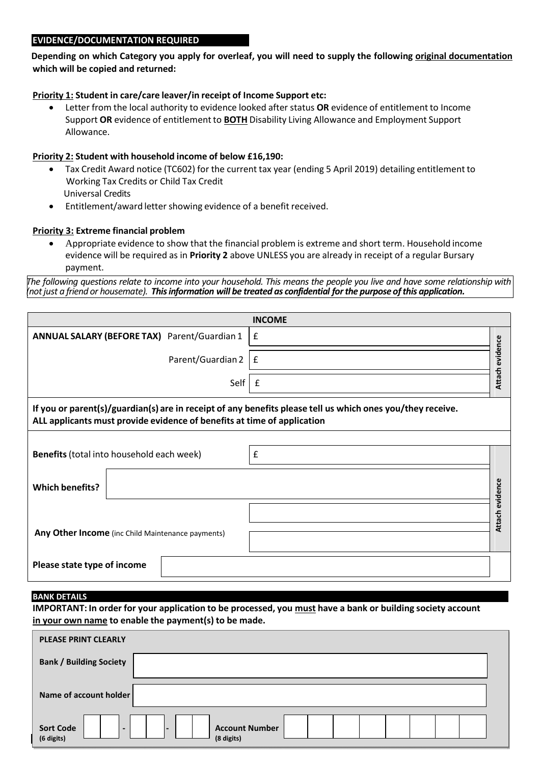#### **EVIDENCE/DOCUMENTATION REQUIRED**

**Depending on which Category you apply for overleaf, you will need to supply the following original documentation which will be copied and returned:**

#### **Priority 1: Student in care/care leaver/in receipt of Income Support etc:**

 Letter from the local authority to evidence looked after status **OR** evidence of entitlement to Income Support **OR** evidence of entitlementto **BOTH** Disability Living Allowance and Employment Support Allowance.

### **Priority 2: Student with household income of below £16,190:**

- Tax Credit Award notice (TC602) for the current tax year (ending 5 April 2019) detailing entitlement to Working Tax Credits or Child Tax Credit Universal Credits
- Entitlement/award letter showing evidence of a benefit received.

## **Priority 3: Extreme financial problem**

 Appropriate evidence to show that the financial problem is extreme and short term. Household income evidence will be required as in **Priority 2** above UNLESS you are already in receipt of a regular Bursary payment.

The following questions relate to income into your household. This means the people you live and have some relationship with *(notjust a friend or housemate). Thisinformation will be treated as confidential forthe purpose ofthis application.*

| <b>INCOME</b>                                                                                                                                                                         |                                                                                                            |                 |  |  |  |
|---------------------------------------------------------------------------------------------------------------------------------------------------------------------------------------|------------------------------------------------------------------------------------------------------------|-----------------|--|--|--|
| <b>ANNUAL SALARY (BEFORE TAX)</b> Parent/Guardian 1                                                                                                                                   | £                                                                                                          |                 |  |  |  |
| Parent/Guardian 2                                                                                                                                                                     | $\pmb{\mathsf{f}}$                                                                                         | Attach evidence |  |  |  |
| Self                                                                                                                                                                                  | £                                                                                                          |                 |  |  |  |
| If you or parent(s)/guardian(s) are in receipt of any benefits please tell us which ones you/they receive.<br>ALL applicants must provide evidence of benefits at time of application |                                                                                                            |                 |  |  |  |
|                                                                                                                                                                                       |                                                                                                            |                 |  |  |  |
| Benefits (total into household each week)                                                                                                                                             | $\pmb{\mathsf{f}}$                                                                                         |                 |  |  |  |
| <b>Which benefits?</b>                                                                                                                                                                |                                                                                                            | Attach evidence |  |  |  |
|                                                                                                                                                                                       |                                                                                                            |                 |  |  |  |
|                                                                                                                                                                                       |                                                                                                            |                 |  |  |  |
| Any Other Income (inc Child Maintenance payments)                                                                                                                                     |                                                                                                            |                 |  |  |  |
| Please state type of income                                                                                                                                                           |                                                                                                            |                 |  |  |  |
| <b>BANK DETAILS</b>                                                                                                                                                                   |                                                                                                            |                 |  |  |  |
|                                                                                                                                                                                       | IMPORTANT: In order for your application to be processed, you must have a bank or building society account |                 |  |  |  |
| in your own name to enable the payment(s) to be made.                                                                                                                                 |                                                                                                            |                 |  |  |  |
| <b>PLEASE PRINT CLEARLY</b>                                                                                                                                                           |                                                                                                            |                 |  |  |  |
| <b>Bank / Building Society</b>                                                                                                                                                        |                                                                                                            |                 |  |  |  |
| Name of account holder                                                                                                                                                                |                                                                                                            |                 |  |  |  |
| <b>Sort Code</b><br><b>Account Number</b><br>(6 digits)<br>(8 digits)                                                                                                                 |                                                                                                            |                 |  |  |  |

#### **BANK DETAILS**

| <b>PLEASE PRINT CLEARLY</b>                                                   |                                     |  |  |  |  |
|-------------------------------------------------------------------------------|-------------------------------------|--|--|--|--|
| <b>Bank / Building Society</b>                                                |                                     |  |  |  |  |
| Name of account holder                                                        |                                     |  |  |  |  |
| <b>Sort Code</b><br>$\overline{\phantom{0}}$<br>$\qquad \qquad$<br>(6 digits) | <b>Account Number</b><br>(8 digits) |  |  |  |  |